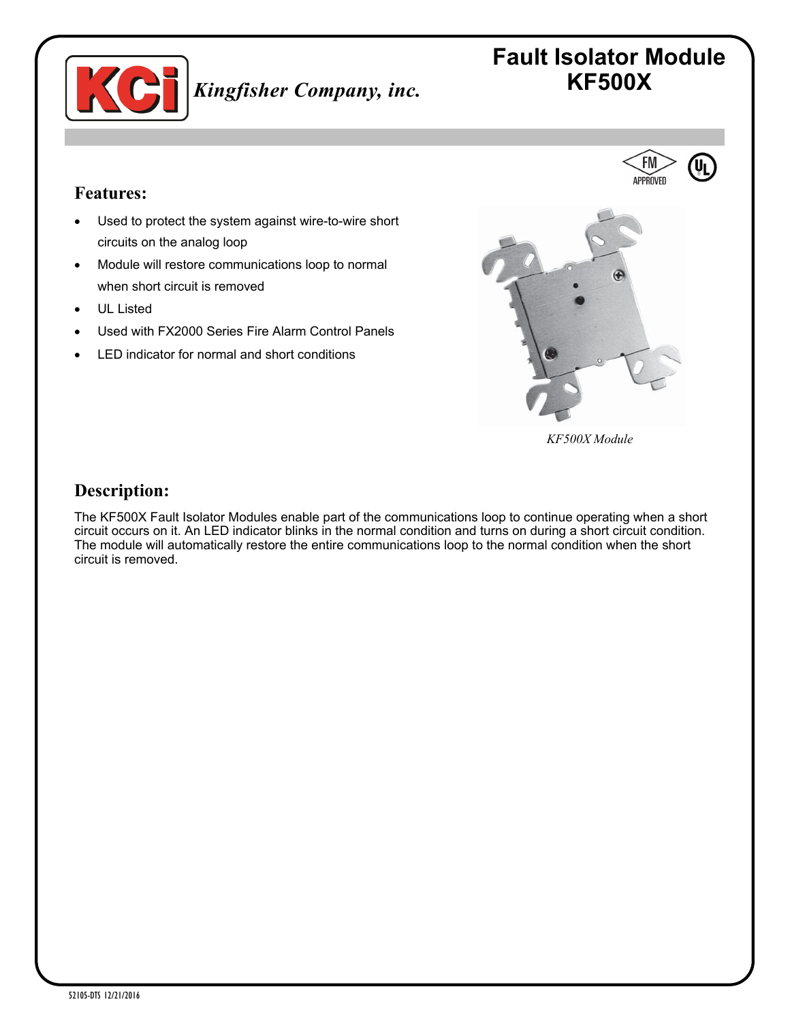

# **Fault Isolator Module** *Kingfisher Company, inc.* **KF500X**

**FM** APPROVFD

#### **Features:**

- Used to protect the system against wire-to-wire short circuits on the analog loop
- Module will restore communications loop to normal when short circuit is removed
- UL Listed
- Used with FX2000 Series Fire Alarm Control Panels
- LED indicator for normal and short conditions



*KF500X Module*

### **Description:**

The KF500X Fault Isolator Modules enable part of the communications loop to continue operating when a short circuit occurs on it. An LED indicator blinks in the normal condition and turns on during a short circuit condition. The module will automatically restore the entire communications loop to the normal condition when the short circuit is removed.